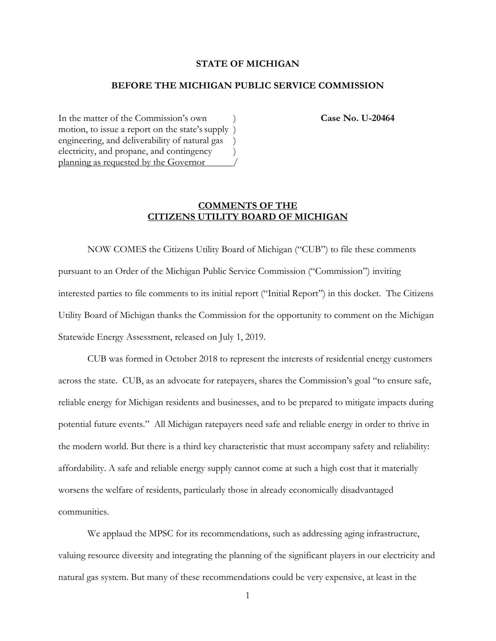# **STATE OF MICHIGAN**

## **BEFORE THE MICHIGAN PUBLIC SERVICE COMMISSION**

In the matter of the Commission's own **Case No. U-20464** motion, to issue a report on the state's supply ) engineering, and deliverability of natural gas ) electricity, and propane, and contingency ) planning as requested by the Governor /

# **COMMENTS OF THE CITIZENS UTILITY BOARD OF MICHIGAN**

NOW COMES the Citizens Utility Board of Michigan ("CUB") to file these comments pursuant to an Order of the Michigan Public Service Commission ("Commission") inviting interested parties to file comments to its initial report ("Initial Report") in this docket. The Citizens Utility Board of Michigan thanks the Commission for the opportunity to comment on the Michigan Statewide Energy Assessment, released on July 1, 2019.

CUB was formed in October 2018 to represent the interests of residential energy customers across the state. CUB, as an advocate for ratepayers, shares the Commission's goal "to ensure safe, reliable energy for Michigan residents and businesses, and to be prepared to mitigate impacts during potential future events." All Michigan ratepayers need safe and reliable energy in order to thrive in the modern world. But there is a third key characteristic that must accompany safety and reliability: affordability. A safe and reliable energy supply cannot come at such a high cost that it materially worsens the welfare of residents, particularly those in already economically disadvantaged communities.

We applaud the MPSC for its recommendations, such as addressing aging infrastructure, valuing resource diversity and integrating the planning of the significant players in our electricity and natural gas system. But many of these recommendations could be very expensive, at least in the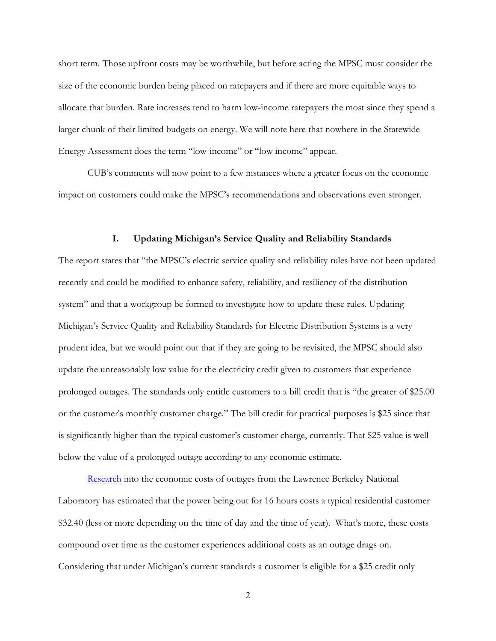short term. Those upfront costs may be worthwhile, but before acting the MPSC must consider the size of the economic burden being placed on ratepayers and if there are more equitable ways to allocate that burden. Rate increases tend to harm low-income ratepayers the most since they spend a larger chunk of their limited budgets on energy. We will note here that nowhere in the Statewide Energy Assessment does the term "low-income" or "low income" appear.

CUB's comments will now point to a few instances where a greater focus on the economic impact on customers could make the MPSC's recommendations and observations even stronger.

#### **I. Updating Michigan's Service Quality and Reliability Standards**

The report states that "the MPSC's electric service quality and reliability rules have not been updated recently and could be modified to enhance safety, reliability, and resiliency of the distribution system" and that a workgroup be formed to investigate how to update these rules. Updating Michigan's Service Quality and Reliability Standards for Electric Distribution Systems is a very prudent idea, but we would point out that if they are going to be revisited, the MPSC should also update the unreasonably low value for the electricity credit given to customers that experience prolonged outages. The standards only entitle customers to a bill credit that is "the greater of \$25.00 or the customer's monthly customer charge." The bill credit for practical purposes is \$25 since that is significantly higher than the typical customer's customer charge, currently. That \$25 value is well below the value of a prolonged outage according to any economic estimate.

[Research](https://emp.lbl.gov/sites/all/files/lbnl-6941e.pdf) into the economic costs of outages from the Lawrence Berkeley National Laboratory has estimated that the power being out for 16 hours costs a typical residential customer \$32.40 (less or more depending on the time of day and the time of year). What's more, these costs compound over time as the customer experiences additional costs as an outage drags on. Considering that under Michigan's current standards a customer is eligible for a \$25 credit only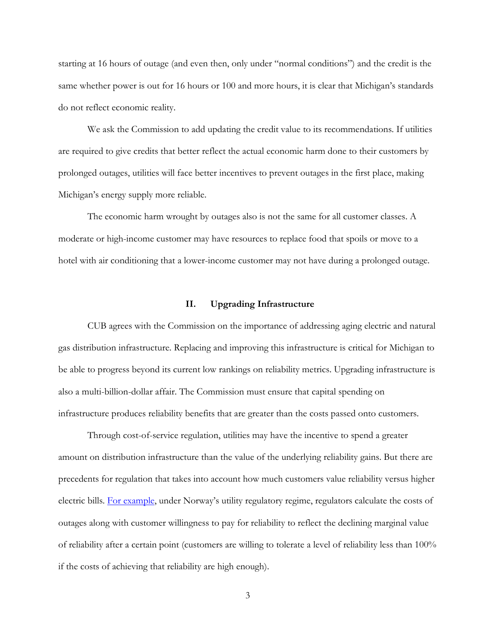starting at 16 hours of outage (and even then, only under "normal conditions") and the credit is the same whether power is out for 16 hours or 100 and more hours, it is clear that Michigan's standards do not reflect economic reality.

We ask the Commission to add updating the credit value to its recommendations. If utilities are required to give credits that better reflect the actual economic harm done to their customers by prolonged outages, utilities will face better incentives to prevent outages in the first place, making Michigan's energy supply more reliable.

The economic harm wrought by outages also is not the same for all customer classes. A moderate or high-income customer may have resources to replace food that spoils or move to a hotel with air conditioning that a lower-income customer may not have during a prolonged outage.

## **II. Upgrading Infrastructure**

CUB agrees with the Commission on the importance of addressing aging electric and natural gas distribution infrastructure. Replacing and improving this infrastructure is critical for Michigan to be able to progress beyond its current low rankings on reliability metrics. Upgrading infrastructure is also a multi-billion-dollar affair. The Commission must ensure that capital spending on infrastructure produces reliability benefits that are greater than the costs passed onto customers.

Through cost-of-service regulation, utilities may have the incentive to spend a greater amount on distribution infrastructure than the value of the underlying reliability gains. But there are precedents for regulation that takes into account how much customers value reliability versus higher electric bills. [For example](https://www.eprg.group.cam.ac.uk/wp-content/uploads/2013/10/EPRG-Paper_BMA.pdf), under Norway's utility regulatory regime, regulators calculate the costs of outages along with customer willingness to pay for reliability to reflect the declining marginal value of reliability after a certain point (customers are willing to tolerate a level of reliability less than 100% if the costs of achieving that reliability are high enough).

3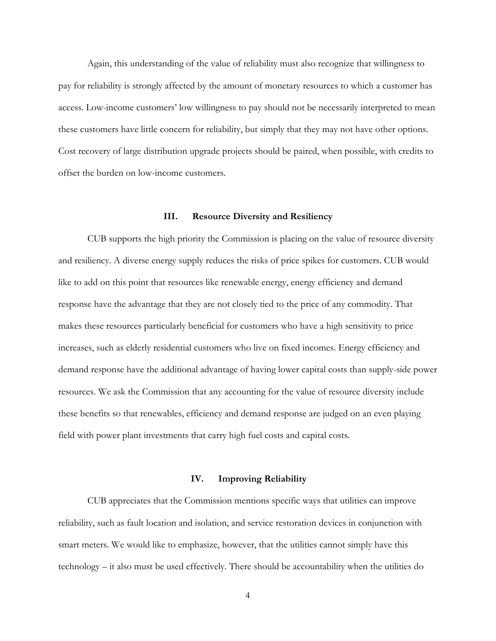Again, this understanding of the value of reliability must also recognize that willingness to pay for reliability is strongly affected by the amount of monetary resources to which a customer has access. Low-income customers' low willingness to pay should not be necessarily interpreted to mean these customers have little concern for reliability, but simply that they may not have other options. Cost recovery of large distribution upgrade projects should be paired, when possible, with credits to offset the burden on low-income customers.

#### **III. Resource Diversity and Resiliency**

CUB supports the high priority the Commission is placing on the value of resource diversity and resiliency. A diverse energy supply reduces the risks of price spikes for customers. CUB would like to add on this point that resources like renewable energy, energy efficiency and demand response have the advantage that they are not closely tied to the price of any commodity. That makes these resources particularly beneficial for customers who have a high sensitivity to price increases, such as elderly residential customers who live on fixed incomes. Energy efficiency and demand response have the additional advantage of having lower capital costs than supply-side power resources. We ask the Commission that any accounting for the value of resource diversity include these benefits so that renewables, efficiency and demand response are judged on an even playing field with power plant investments that carry high fuel costs and capital costs.

#### **IV. Improving Reliability**

CUB appreciates that the Commission mentions specific ways that utilities can improve reliability, such as fault location and isolation, and service restoration devices in conjunction with smart meters. We would like to emphasize, however, that the utilities cannot simply have this technology – it also must be used effectively. There should be accountability when the utilities do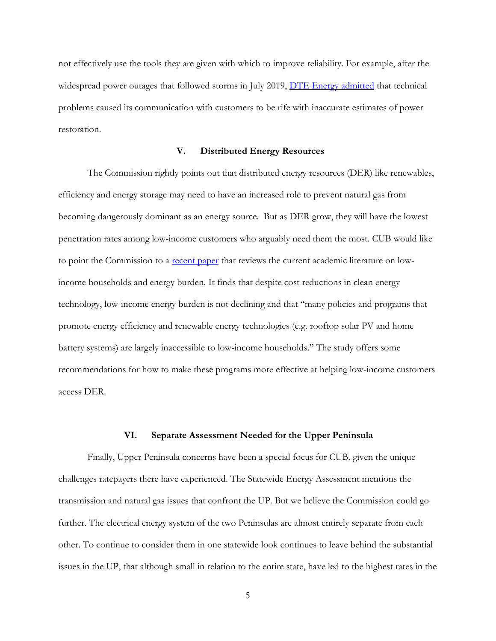not effectively use the tools they are given with which to improve reliability. For example, after the widespread power outages that followed storms in July 2019, <u>DTE Energy admitted</u> that technical problems caused its communication with customers to be rife with inaccurate estimates of power restoration.

## **V. Distributed Energy Resources**

The Commission rightly points out that distributed energy resources (DER) like renewables, efficiency and energy storage may need to have an increased role to prevent natural gas from becoming dangerously dominant as an energy source. But as DER grow, they will have the lowest penetration rates among low-income customers who arguably need them the most. CUB would like to point the Commission to a [recent paper](https://iopscience.iop.org/article/10.1088/2516-1083/ab250b/pdf) that reviews the current academic literature on lowincome households and energy burden. It finds that despite cost reductions in clean energy technology, low-income energy burden is not declining and that "many policies and programs that promote energy efficiency and renewable energy technologies (e.g. rooftop solar PV and home battery systems) are largely inaccessible to low-income households." The study offers some recommendations for how to make these programs more effective at helping low-income customers access DER.

#### **VI. Separate Assessment Needed for the Upper Peninsula**

Finally, Upper Peninsula concerns have been a special focus for CUB, given the unique challenges ratepayers there have experienced. The Statewide Energy Assessment mentions the transmission and natural gas issues that confront the UP. But we believe the Commission could go further. The electrical energy system of the two Peninsulas are almost entirely separate from each other. To continue to consider them in one statewide look continues to leave behind the substantial issues in the UP, that although small in relation to the entire state, have led to the highest rates in the

5